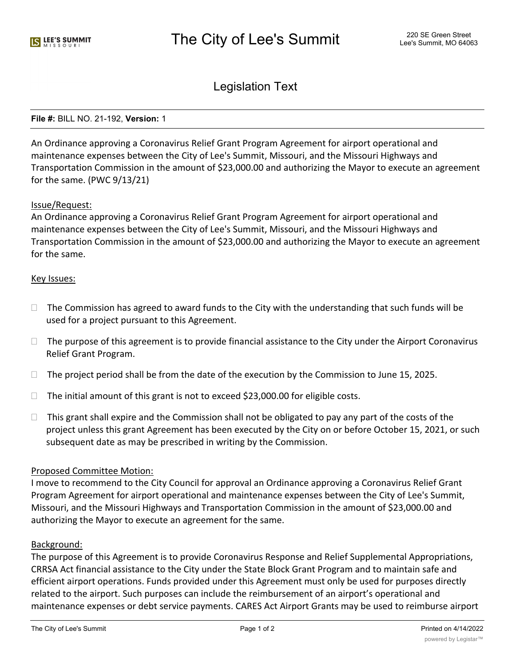Legislation Text

#### **File #:** BILL NO. 21-192, **Version:** 1

An Ordinance approving a Coronavirus Relief Grant Program Agreement for airport operational and maintenance expenses between the City of Lee's Summit, Missouri, and the Missouri Highways and Transportation Commission in the amount of \$23,000.00 and authorizing the Mayor to execute an agreement for the same. (PWC 9/13/21)

# Issue/Request:

An Ordinance approving a Coronavirus Relief Grant Program Agreement for airport operational and maintenance expenses between the City of Lee's Summit, Missouri, and the Missouri Highways and Transportation Commission in the amount of \$23,000.00 and authorizing the Mayor to execute an agreement for the same.

#### Key Issues:

- $\Box$  The Commission has agreed to award funds to the City with the understanding that such funds will be used for a project pursuant to this Agreement.
- $\Box$  The purpose of this agreement is to provide financial assistance to the City under the Airport Coronavirus Relief Grant Program.
- $\Box$  The project period shall be from the date of the execution by the Commission to June 15, 2025.
- $\Box$  The initial amount of this grant is not to exceed \$23,000.00 for eligible costs.
- $\Box$  This grant shall expire and the Commission shall not be obligated to pay any part of the costs of the project unless this grant Agreement has been executed by the City on or before October 15, 2021, or such subsequent date as may be prescribed in writing by the Commission.

# Proposed Committee Motion:

I move to recommend to the City Council for approval an Ordinance approving a Coronavirus Relief Grant Program Agreement for airport operational and maintenance expenses between the City of Lee's Summit, Missouri, and the Missouri Highways and Transportation Commission in the amount of \$23,000.00 and authorizing the Mayor to execute an agreement for the same.

# Background:

The purpose of this Agreement is to provide Coronavirus Response and Relief Supplemental Appropriations, CRRSA Act financial assistance to the City under the State Block Grant Program and to maintain safe and efficient airport operations. Funds provided under this Agreement must only be used for purposes directly related to the airport. Such purposes can include the reimbursement of an airport's operational and maintenance expenses or debt service payments. CARES Act Airport Grants may be used to reimburse airport